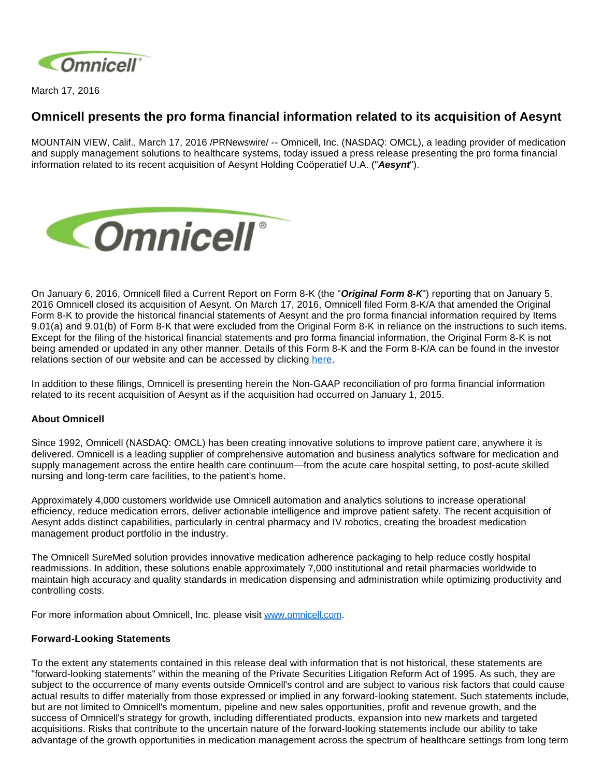

March 17, 2016

# **Omnicell presents the pro forma financial information related to its acquisition of Aesynt**

MOUNTAIN VIEW, Calif., March 17, 2016 /PRNewswire/ -- Omnicell, Inc. (NASDAQ: OMCL), a leading provider of medication and supply management solutions to healthcare systems, today issued a press release presenting the pro forma financial information related to its recent acquisition of Aesynt Holding Coöperatief U.A. ("**Aesynt**").



On January 6, 2016, Omnicell filed a Current Report on Form 8-K (the "**Original Form 8-K**") reporting that on January 5, 2016 Omnicell closed its acquisition of Aesynt. On March 17, 2016, Omnicell filed Form 8-K/A that amended the Original Form 8-K to provide the historical financial statements of Aesynt and the pro forma financial information required by Items 9.01(a) and 9.01(b) of Form 8-K that were excluded from the Original Form 8-K in reliance on the instructions to such items. Except for the filing of the historical financial statements and pro forma financial information, the Original Form 8-K is not being amended or updated in any other manner. Details of this Form 8-K and the Form 8-K/A can be found in the investor relations section of our website and can be accessed by clicking [here](http://ir.omnicell.com/sec.cfm).

In addition to these filings, Omnicell is presenting herein the Non-GAAP reconciliation of pro forma financial information related to its recent acquisition of Aesynt as if the acquisition had occurred on January 1, 2015.

## **About Omnicell**

Since 1992, Omnicell (NASDAQ: OMCL) has been creating innovative solutions to improve patient care, anywhere it is delivered. Omnicell is a leading supplier of comprehensive automation and business analytics software for medication and supply management across the entire health care continuum—from the acute care hospital setting, to post-acute skilled nursing and long-term care facilities, to the patient's home.

Approximately 4,000 customers worldwide use Omnicell automation and analytics solutions to increase operational efficiency, reduce medication errors, deliver actionable intelligence and improve patient safety. The recent acquisition of Aesynt adds distinct capabilities, particularly in central pharmacy and IV robotics, creating the broadest medication management product portfolio in the industry.

The Omnicell SureMed solution provides innovative medication adherence packaging to help reduce costly hospital readmissions. In addition, these solutions enable approximately 7,000 institutional and retail pharmacies worldwide to maintain high accuracy and quality standards in medication dispensing and administration while optimizing productivity and controlling costs.

For more information about Omnicell, Inc. please visit [www.omnicell.com](http://www.omnicell.com/).

## **Forward-Looking Statements**

To the extent any statements contained in this release deal with information that is not historical, these statements are "forward-looking statements" within the meaning of the Private Securities Litigation Reform Act of 1995. As such, they are subject to the occurrence of many events outside Omnicell's control and are subject to various risk factors that could cause actual results to differ materially from those expressed or implied in any forward-looking statement. Such statements include, but are not limited to Omnicell's momentum, pipeline and new sales opportunities, profit and revenue growth, and the success of Omnicell's strategy for growth, including differentiated products, expansion into new markets and targeted acquisitions. Risks that contribute to the uncertain nature of the forward-looking statements include our ability to take advantage of the growth opportunities in medication management across the spectrum of healthcare settings from long term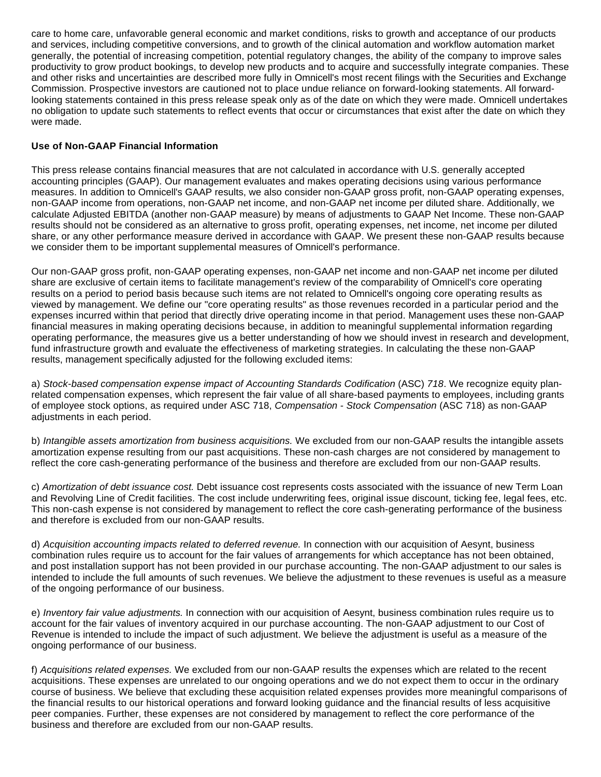care to home care, unfavorable general economic and market conditions, risks to growth and acceptance of our products and services, including competitive conversions, and to growth of the clinical automation and workflow automation market generally, the potential of increasing competition, potential regulatory changes, the ability of the company to improve sales productivity to grow product bookings, to develop new products and to acquire and successfully integrate companies. These and other risks and uncertainties are described more fully in Omnicell's most recent filings with the Securities and Exchange Commission. Prospective investors are cautioned not to place undue reliance on forward-looking statements. All forwardlooking statements contained in this press release speak only as of the date on which they were made. Omnicell undertakes no obligation to update such statements to reflect events that occur or circumstances that exist after the date on which they were made.

# **Use of Non-GAAP Financial Information**

This press release contains financial measures that are not calculated in accordance with U.S. generally accepted accounting principles (GAAP). Our management evaluates and makes operating decisions using various performance measures. In addition to Omnicell's GAAP results, we also consider non-GAAP gross profit, non-GAAP operating expenses, non-GAAP income from operations, non-GAAP net income, and non-GAAP net income per diluted share. Additionally, we calculate Adjusted EBITDA (another non-GAAP measure) by means of adjustments to GAAP Net Income. These non-GAAP results should not be considered as an alternative to gross profit, operating expenses, net income, net income per diluted share, or any other performance measure derived in accordance with GAAP. We present these non-GAAP results because we consider them to be important supplemental measures of Omnicell's performance.

Our non-GAAP gross profit, non-GAAP operating expenses, non-GAAP net income and non-GAAP net income per diluted share are exclusive of certain items to facilitate management's review of the comparability of Omnicell's core operating results on a period to period basis because such items are not related to Omnicell's ongoing core operating results as viewed by management. We define our "core operating results" as those revenues recorded in a particular period and the expenses incurred within that period that directly drive operating income in that period. Management uses these non-GAAP financial measures in making operating decisions because, in addition to meaningful supplemental information regarding operating performance, the measures give us a better understanding of how we should invest in research and development, fund infrastructure growth and evaluate the effectiveness of marketing strategies. In calculating the these non-GAAP results, management specifically adjusted for the following excluded items:

a) Stock-based compensation expense impact of Accounting Standards Codification (ASC) 718. We recognize equity planrelated compensation expenses, which represent the fair value of all share-based payments to employees, including grants of employee stock options, as required under ASC 718, Compensation - Stock Compensation (ASC 718) as non-GAAP adjustments in each period.

b) Intangible assets amortization from business acquisitions. We excluded from our non-GAAP results the intangible assets amortization expense resulting from our past acquisitions. These non-cash charges are not considered by management to reflect the core cash-generating performance of the business and therefore are excluded from our non-GAAP results.

c) Amortization of debt issuance cost. Debt issuance cost represents costs associated with the issuance of new Term Loan and Revolving Line of Credit facilities. The cost include underwriting fees, original issue discount, ticking fee, legal fees, etc. This non-cash expense is not considered by management to reflect the core cash-generating performance of the business and therefore is excluded from our non-GAAP results.

d) Acquisition accounting impacts related to deferred revenue. In connection with our acquisition of Aesynt, business combination rules require us to account for the fair values of arrangements for which acceptance has not been obtained, and post installation support has not been provided in our purchase accounting. The non-GAAP adjustment to our sales is intended to include the full amounts of such revenues. We believe the adjustment to these revenues is useful as a measure of the ongoing performance of our business.

e) Inventory fair value adjustments. In connection with our acquisition of Aesynt, business combination rules require us to account for the fair values of inventory acquired in our purchase accounting. The non-GAAP adjustment to our Cost of Revenue is intended to include the impact of such adjustment. We believe the adjustment is useful as a measure of the ongoing performance of our business.

f) Acquisitions related expenses. We excluded from our non-GAAP results the expenses which are related to the recent acquisitions. These expenses are unrelated to our ongoing operations and we do not expect them to occur in the ordinary course of business. We believe that excluding these acquisition related expenses provides more meaningful comparisons of the financial results to our historical operations and forward looking guidance and the financial results of less acquisitive peer companies. Further, these expenses are not considered by management to reflect the core performance of the business and therefore are excluded from our non-GAAP results.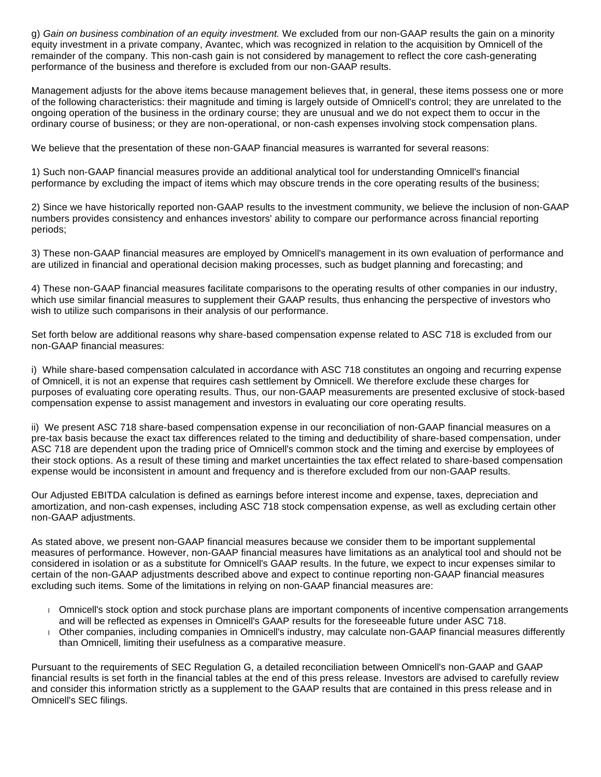g) Gain on business combination of an equity investment. We excluded from our non-GAAP results the gain on a minority equity investment in a private company, Avantec, which was recognized in relation to the acquisition by Omnicell of the remainder of the company. This non-cash gain is not considered by management to reflect the core cash-generating performance of the business and therefore is excluded from our non-GAAP results.

Management adjusts for the above items because management believes that, in general, these items possess one or more of the following characteristics: their magnitude and timing is largely outside of Omnicell's control; they are unrelated to the ongoing operation of the business in the ordinary course; they are unusual and we do not expect them to occur in the ordinary course of business; or they are non-operational, or non-cash expenses involving stock compensation plans.

We believe that the presentation of these non-GAAP financial measures is warranted for several reasons:

1) Such non-GAAP financial measures provide an additional analytical tool for understanding Omnicell's financial performance by excluding the impact of items which may obscure trends in the core operating results of the business;

2) Since we have historically reported non-GAAP results to the investment community, we believe the inclusion of non-GAAP numbers provides consistency and enhances investors' ability to compare our performance across financial reporting periods;

3) These non-GAAP financial measures are employed by Omnicell's management in its own evaluation of performance and are utilized in financial and operational decision making processes, such as budget planning and forecasting; and

4) These non-GAAP financial measures facilitate comparisons to the operating results of other companies in our industry, which use similar financial measures to supplement their GAAP results, thus enhancing the perspective of investors who wish to utilize such comparisons in their analysis of our performance.

Set forth below are additional reasons why share-based compensation expense related to ASC 718 is excluded from our non-GAAP financial measures:

i) While share-based compensation calculated in accordance with ASC 718 constitutes an ongoing and recurring expense of Omnicell, it is not an expense that requires cash settlement by Omnicell. We therefore exclude these charges for purposes of evaluating core operating results. Thus, our non-GAAP measurements are presented exclusive of stock-based compensation expense to assist management and investors in evaluating our core operating results.

ii) We present ASC 718 share-based compensation expense in our reconciliation of non-GAAP financial measures on a pre-tax basis because the exact tax differences related to the timing and deductibility of share-based compensation, under ASC 718 are dependent upon the trading price of Omnicell's common stock and the timing and exercise by employees of their stock options. As a result of these timing and market uncertainties the tax effect related to share-based compensation expense would be inconsistent in amount and frequency and is therefore excluded from our non-GAAP results.

Our Adjusted EBITDA calculation is defined as earnings before interest income and expense, taxes, depreciation and amortization, and non-cash expenses, including ASC 718 stock compensation expense, as well as excluding certain other non-GAAP adjustments.

As stated above, we present non-GAAP financial measures because we consider them to be important supplemental measures of performance. However, non-GAAP financial measures have limitations as an analytical tool and should not be considered in isolation or as a substitute for Omnicell's GAAP results. In the future, we expect to incur expenses similar to certain of the non-GAAP adjustments described above and expect to continue reporting non-GAAP financial measures excluding such items. Some of the limitations in relying on non-GAAP financial measures are:

 Omnicell's stock option and stock purchase plans are important components of incentive compensation arrangements and will be reflected as expenses in Omnicell's GAAP results for the foreseeable future under ASC 718. Other companies, including companies in Omnicell's industry, may calculate non-GAAP financial measures differently than Omnicell, limiting their usefulness as a comparative measure.

Pursuant to the requirements of SEC Regulation G, a detailed reconciliation between Omnicell's non-GAAP and GAAP financial results is set forth in the financial tables at the end of this press release. Investors are advised to carefully review and consider this information strictly as a supplement to the GAAP results that are contained in this press release and in Omnicell's SEC filings.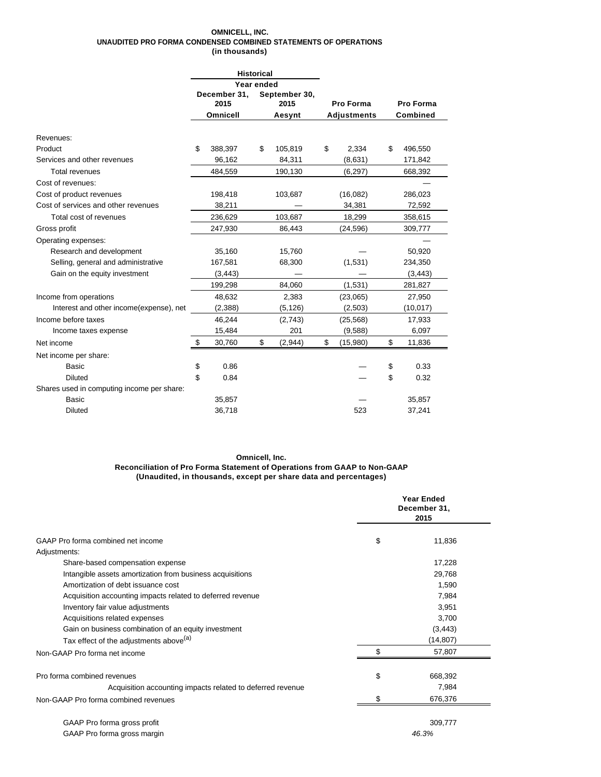### **OMNICELL, INC. UNAUDITED PRO FORMA CONDENSED COMBINED STATEMENTS OF OPERATIONS (in thousands)**

|                                            | <b>Historical</b><br>Year ended |                      |    |                       |                  |                  |
|--------------------------------------------|---------------------------------|----------------------|----|-----------------------|------------------|------------------|
|                                            |                                 |                      |    |                       |                  |                  |
|                                            |                                 | December 31,<br>2015 |    | September 30,<br>2015 | <b>Pro Forma</b> | <b>Pro Forma</b> |
|                                            |                                 | <b>Omnicell</b>      |    | Aesynt                | Adjustments      | Combined         |
| Revenues:                                  |                                 |                      |    |                       |                  |                  |
| Product                                    | \$                              | 388,397              | \$ | 105,819               | \$<br>2,334      | \$<br>496,550    |
| Services and other revenues                |                                 | 96,162               |    | 84,311                | (8,631)          | 171,842          |
| <b>Total revenues</b>                      |                                 | 484,559              |    | 190,130               | (6, 297)         | 668,392          |
| Cost of revenues:                          |                                 |                      |    |                       |                  |                  |
| Cost of product revenues                   |                                 | 198,418              |    | 103,687               | (16,082)         | 286,023          |
| Cost of services and other revenues        |                                 | 38,211               |    |                       | 34,381           | 72,592           |
| Total cost of revenues                     |                                 | 236,629              |    | 103,687               | 18,299           | 358,615          |
| Gross profit                               |                                 | 247,930              |    | 86,443                | (24, 596)        | 309,777          |
| Operating expenses:                        |                                 |                      |    |                       |                  |                  |
| Research and development                   |                                 | 35,160               |    | 15,760                |                  | 50,920           |
| Selling, general and administrative        |                                 | 167,581              |    | 68,300                | (1,531)          | 234,350          |
| Gain on the equity investment              |                                 | (3, 443)             |    |                       |                  | (3, 443)         |
|                                            |                                 | 199,298              |    | 84,060                | (1,531)          | 281,827          |
| Income from operations                     |                                 | 48,632               |    | 2,383                 | (23,065)         | 27,950           |
| Interest and other income(expense), net    |                                 | (2,388)              |    | (5, 126)              | (2,503)          | (10, 017)        |
| Income before taxes                        |                                 | 46,244               |    | (2,743)               | (25, 568)        | 17,933           |
| Income taxes expense                       |                                 | 15,484               |    | 201                   | (9,588)          | 6,097            |
| Net income                                 | \$                              | 30,760               | \$ | (2,944)               | \$<br>(15,980)   | \$<br>11,836     |
| Net income per share:                      |                                 |                      |    |                       |                  |                  |
| <b>Basic</b>                               | \$                              | 0.86                 |    |                       |                  | \$<br>0.33       |
| <b>Diluted</b>                             | \$                              | 0.84                 |    |                       |                  | \$<br>0.32       |
| Shares used in computing income per share: |                                 |                      |    |                       |                  |                  |
| <b>Basic</b>                               |                                 | 35,857               |    |                       |                  | 35,857           |
| <b>Diluted</b>                             |                                 | 36,718               |    |                       | 523              | 37,241           |

### **Omnicell, Inc.**

### **Reconciliation of Pro Forma Statement of Operations from GAAP to Non-GAAP (Unaudited, in thousands, except per share data and percentages)**

|                                                            | <b>Year Ended</b><br>December 31,<br>2015 |  |  |
|------------------------------------------------------------|-------------------------------------------|--|--|
| GAAP Pro forma combined net income                         | \$<br>11,836                              |  |  |
| Adjustments:                                               |                                           |  |  |
| Share-based compensation expense                           | 17,228                                    |  |  |
| Intangible assets amortization from business acquisitions  | 29,768                                    |  |  |
| Amortization of debt issuance cost                         | 1,590                                     |  |  |
| Acquisition accounting impacts related to deferred revenue | 7,984                                     |  |  |
| Inventory fair value adjustments                           | 3,951                                     |  |  |
| Acquisitions related expenses                              | 3,700                                     |  |  |
| Gain on business combination of an equity investment       | (3, 443)                                  |  |  |
| Tax effect of the adjustments above <sup>(a)</sup>         | (14, 807)                                 |  |  |
| Non-GAAP Pro forma net income                              | \$<br>57,807                              |  |  |
| Pro forma combined revenues                                | \$<br>668,392                             |  |  |
| Acquisition accounting impacts related to deferred revenue | 7,984                                     |  |  |
| Non-GAAP Pro forma combined revenues                       | 676,376                                   |  |  |
|                                                            |                                           |  |  |

GAAP Pro forma gross profit 309,777 GAAP Pro forma gross margin 46.3%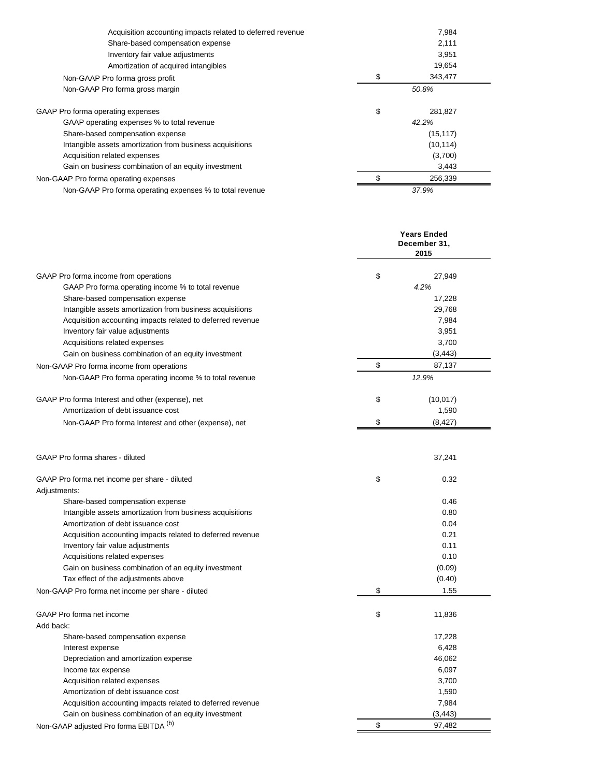| Acquisition accounting impacts related to deferred revenue |       | 7,984     |  |
|------------------------------------------------------------|-------|-----------|--|
| Share-based compensation expense                           |       | 2,111     |  |
| Inventory fair value adjustments                           |       | 3,951     |  |
| Amortization of acquired intangibles                       |       | 19,654    |  |
| Non-GAAP Pro forma gross profit                            |       | 343,477   |  |
| Non-GAAP Pro forma gross margin                            | 50.8% |           |  |
| GAAP Pro forma operating expenses                          | \$    | 281,827   |  |
| GAAP operating expenses % to total revenue                 | 42.2% |           |  |
| Share-based compensation expense                           |       | (15, 117) |  |
| Intangible assets amortization from business acquisitions  |       | (10, 114) |  |
| Acquisition related expenses                               |       | (3,700)   |  |
| Gain on business combination of an equity investment       |       | 3,443     |  |
| Non-GAAP Pro forma operating expenses                      |       | 256,339   |  |
| Non-GAAP Pro forma operating expenses % to total revenue   | 37.9% |           |  |

|                                                            | <b>Years Ended</b><br>December 31,<br>2015 |           |  |  |
|------------------------------------------------------------|--------------------------------------------|-----------|--|--|
| GAAP Pro forma income from operations                      | \$                                         | 27,949    |  |  |
| GAAP Pro forma operating income % to total revenue         |                                            | 4.2%      |  |  |
| Share-based compensation expense                           |                                            | 17,228    |  |  |
| Intangible assets amortization from business acquisitions  |                                            | 29,768    |  |  |
| Acquisition accounting impacts related to deferred revenue |                                            | 7,984     |  |  |
| Inventory fair value adjustments                           |                                            | 3,951     |  |  |
| Acquisitions related expenses                              |                                            | 3,700     |  |  |
| Gain on business combination of an equity investment       |                                            | (3, 443)  |  |  |
| Non-GAAP Pro forma income from operations                  | \$                                         | 87,137    |  |  |
| Non-GAAP Pro forma operating income % to total revenue     |                                            | 12.9%     |  |  |
| GAAP Pro forma Interest and other (expense), net           | \$                                         | (10, 017) |  |  |
| Amortization of debt issuance cost                         |                                            | 1,590     |  |  |
|                                                            | \$                                         | (8, 427)  |  |  |
| Non-GAAP Pro forma Interest and other (expense), net       |                                            |           |  |  |
| GAAP Pro forma shares - diluted                            |                                            | 37,241    |  |  |
| GAAP Pro forma net income per share - diluted              | \$                                         | 0.32      |  |  |
| Adjustments:                                               |                                            |           |  |  |
| Share-based compensation expense                           |                                            | 0.46      |  |  |
| Intangible assets amortization from business acquisitions  |                                            | 0.80      |  |  |
| Amortization of debt issuance cost                         |                                            | 0.04      |  |  |
| Acquisition accounting impacts related to deferred revenue |                                            | 0.21      |  |  |
| Inventory fair value adjustments                           |                                            | 0.11      |  |  |
| Acquisitions related expenses                              |                                            | 0.10      |  |  |
| Gain on business combination of an equity investment       |                                            | (0.09)    |  |  |
| Tax effect of the adjustments above                        |                                            | (0.40)    |  |  |
| Non-GAAP Pro forma net income per share - diluted          | \$                                         | 1.55      |  |  |
| GAAP Pro forma net income                                  | \$                                         | 11,836    |  |  |
| Add back:                                                  |                                            |           |  |  |
| Share-based compensation expense                           |                                            | 17,228    |  |  |
| Interest expense                                           |                                            | 6,428     |  |  |
| Depreciation and amortization expense                      |                                            | 46,062    |  |  |
| Income tax expense                                         |                                            | 6,097     |  |  |
| Acquisition related expenses                               |                                            | 3,700     |  |  |
| Amortization of debt issuance cost                         |                                            | 1,590     |  |  |
| Acquisition accounting impacts related to deferred revenue |                                            | 7,984     |  |  |
| Gain on business combination of an equity investment       |                                            | (3, 443)  |  |  |
| Non-GAAP adjusted Pro forma EBITDA (b)                     | \$                                         | 97,482    |  |  |